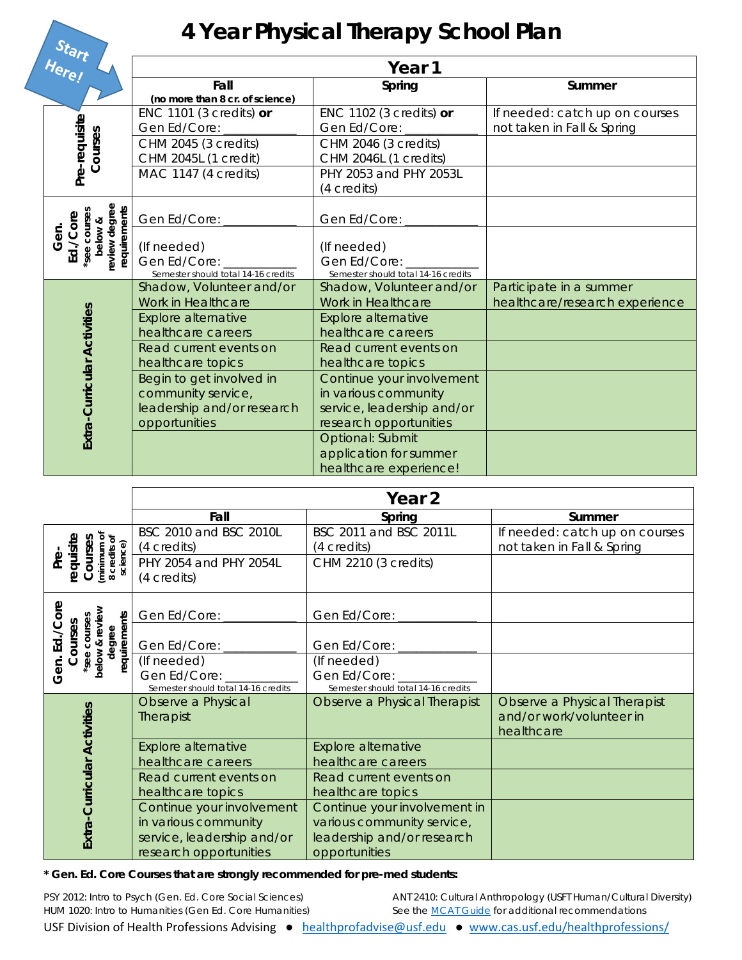## **4 Year Physical Therapy School Plan**

| Here! |                                                                              | Year 1                                                             |                                                                      |                                                              |  |  |
|-------|------------------------------------------------------------------------------|--------------------------------------------------------------------|----------------------------------------------------------------------|--------------------------------------------------------------|--|--|
|       |                                                                              | Fall<br>(no more than 8 cr. of science)                            | Spring                                                               | Summer                                                       |  |  |
|       |                                                                              | ENC 1101 (3 credits) $or$<br>Gen Ed/Core:                          | ENC 1102 (3 credits) $or$<br>Gen Ed/Core:                            | If needed: catch up on courses<br>not taken in Fall & Spring |  |  |
|       | Pre-requisite<br>Courses                                                     | CHM 2045 (3 credits)<br>CHM 2045L (1 credit)                       | CHM 2046 (3 credits)<br>CHM 2046L (1 credits)                        |                                                              |  |  |
|       |                                                                              | MAC 1147 (4 credits)                                               | PHY 2053 and PHY 2053L<br>(4 credits)                                |                                                              |  |  |
|       |                                                                              | Gen Ed/Core:                                                       | Gen Ed/Core:                                                         |                                                              |  |  |
|       | below &<br>review degree<br>requirements<br>Ed./Core<br>*see courses<br>Gen. | (If needed)<br>Gen Ed/Core:<br>Semester should total 14-16 credits | (If needed)<br>Gen Ed/Core:<br>Semester should total 14-16 credits   |                                                              |  |  |
|       |                                                                              | Shadow, Volunteer and/or<br>Work in Healthcare                     | Shadow, Volunteer and/or<br>Work in Healthcare                       | Participate in a summer<br>healthcare/research experience    |  |  |
|       |                                                                              | Explore alternative<br>healthcare careers                          | Explore alternative<br>healthcare careers                            |                                                              |  |  |
|       | Extra-Curricular Activities                                                  | Read current events on<br>healthcare topics                        | Read current events on<br>healthcare topics                          |                                                              |  |  |
|       |                                                                              | Begin to get involved in<br>community service,                     | Continue your involvement<br>in various community                    |                                                              |  |  |
|       |                                                                              | leadership and/or research<br>opportunities                        | service, leadership and/or<br>research opportunities                 |                                                              |  |  |
|       |                                                                              |                                                                    | Optional: Submit<br>application for summer<br>healthcare experience! |                                                              |  |  |

|                                                                             | Year <sub>2</sub>                                                                                         |                                                                                                           |                                                                        |
|-----------------------------------------------------------------------------|-----------------------------------------------------------------------------------------------------------|-----------------------------------------------------------------------------------------------------------|------------------------------------------------------------------------|
|                                                                             | Fall                                                                                                      | Spring                                                                                                    | Summer                                                                 |
|                                                                             | BSC 2010 and BSC 2010L<br>(4 credits)                                                                     | BSC 2011 and BSC 2011L<br>(4 credits)                                                                     | If needed: catch up on courses<br>not taken in Fall & Spring           |
| Courses<br>(minimum of<br>8 credits of<br>science)<br>equisite<br>فع<br>م   | PHY 2054 and PHY 2054L<br>(4 credits)                                                                     | CHM 2210 (3 credits)                                                                                      |                                                                        |
| δp                                                                          | Gen Ed/Core: _________                                                                                    | Gen Ed/Core: ________                                                                                     |                                                                        |
| below & review<br>requirements<br>see courses<br>ourses<br>degree<br>ر<br>Б | Gen Ed/Core: ________                                                                                     | Gen Ed/Core: ________                                                                                     |                                                                        |
| Gen.                                                                        | (If needed)                                                                                               | (If needed)                                                                                               |                                                                        |
|                                                                             | Gen Ed/Core: __________<br>Semester should total 14-16 credits                                            | Gen Ed/Core: ________<br>Semester should total 14-16 credits                                              |                                                                        |
|                                                                             | Observe a Physical<br>Therapist                                                                           | Observe a Physical Therapist                                                                              | Observe a Physical Therapist<br>and/or work/volunteer in<br>healthcare |
|                                                                             | <b>Explore alternative</b><br>healthcare careers                                                          | Explore alternative<br>healthcare careers                                                                 |                                                                        |
|                                                                             | Read current events on<br>healthcare topics                                                               | Read current events on<br>healthcare topics                                                               |                                                                        |
| Extra-Curricular Activities                                                 | Continue your involvement<br>in various community<br>service, leadership and/or<br>research opportunities | Continue your involvement in<br>various community service,<br>leadership and/or research<br>opportunities |                                                                        |

**\* Gen. Ed. Core Courses that are strongly recommended for pre-med students:**

PSY 2012: Intro to Psych (Gen. Ed. Core Social Sciences) HUM 1020: Intro to Humanities (Gen Ed. Core Humanities) ANT 2410: Cultural Anthropology (USFT Human/Cultural Diversity) *See the MCAT Guide for additional recommendations*